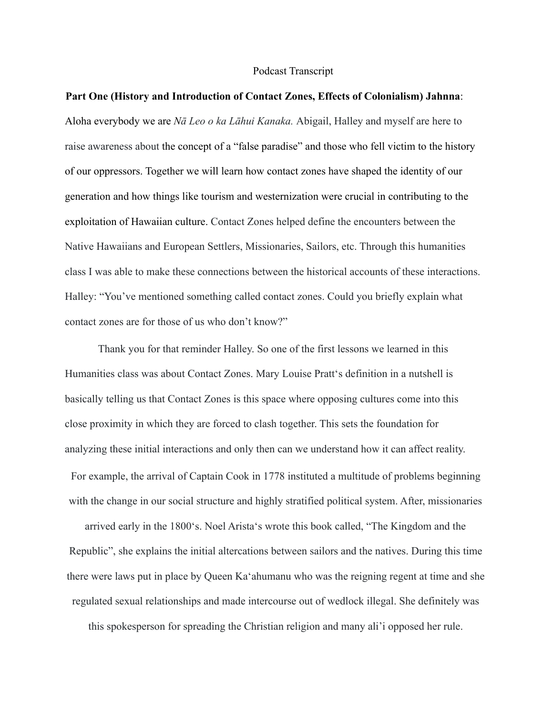#### Podcast Transcript

## **Part One (History and Introduction of Contact Zones, Effects of Colonialism) Jahnna**:

Aloha everybody we are *Nā Leo o ka Lāhui Kanaka.* Abigail, Halley and myself are here to raise awareness about the concept of a "false paradise" and those who fell victim to the history of our oppressors. Together we will learn how contact zones have shaped the identity of our generation and how things like tourism and westernization were crucial in contributing to the exploitation of Hawaiian culture. Contact Zones helped define the encounters between the Native Hawaiians and European Settlers, Missionaries, Sailors, etc. Through this humanities class I was able to make these connections between the historical accounts of these interactions. Halley: "You've mentioned something called contact zones. Could you briefly explain what contact zones are for those of us who don't know?"

Thank you for that reminder Halley. So one of the first lessons we learned in this Humanities class was about Contact Zones. Mary Louise Prattʻs definition in a nutshell is basically telling us that Contact Zones is this space where opposing cultures come into this close proximity in which they are forced to clash together. This sets the foundation for analyzing these initial interactions and only then can we understand how it can affect reality. For example, the arrival of Captain Cook in 1778 instituted a multitude of problems beginning with the change in our social structure and highly stratified political system. After, missionaries arrived early in the 1800ʻs. Noel Aristaʻs wrote this book called, "The Kingdom and the Republic", she explains the initial altercations between sailors and the natives. During this time

there were laws put in place by Queen Kaʻahumanu who was the reigning regent at time and she

regulated sexual relationships and made intercourse out of wedlock illegal. She definitely was

this spokesperson for spreading the Christian religion and many ali'i opposed her rule.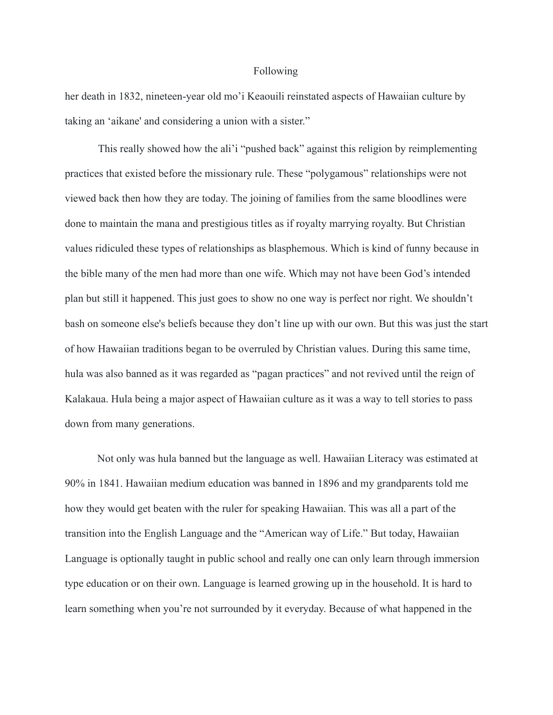#### Following

her death in 1832, nineteen-year old mo'i Keaouili reinstated aspects of Hawaiian culture by taking an 'aikane' and considering a union with a sister."

This really showed how the ali'i "pushed back" against this religion by reimplementing practices that existed before the missionary rule. These "polygamous" relationships were not viewed back then how they are today. The joining of families from the same bloodlines were done to maintain the mana and prestigious titles as if royalty marrying royalty. But Christian values ridiculed these types of relationships as blasphemous. Which is kind of funny because in the bible many of the men had more than one wife. Which may not have been God's intended plan but still it happened. This just goes to show no one way is perfect nor right. We shouldn't bash on someone else's beliefs because they don't line up with our own. But this was just the start of how Hawaiian traditions began to be overruled by Christian values. During this same time, hula was also banned as it was regarded as "pagan practices" and not revived until the reign of Kalakaua. Hula being a major aspect of Hawaiian culture as it was a way to tell stories to pass down from many generations.

Not only was hula banned but the language as well. Hawaiian Literacy was estimated at 90% in 1841. Hawaiian medium education was banned in 1896 and my grandparents told me how they would get beaten with the ruler for speaking Hawaiian. This was all a part of the transition into the English Language and the "American way of Life." But today, Hawaiian Language is optionally taught in public school and really one can only learn through immersion type education or on their own. Language is learned growing up in the household. It is hard to learn something when you're not surrounded by it everyday. Because of what happened in the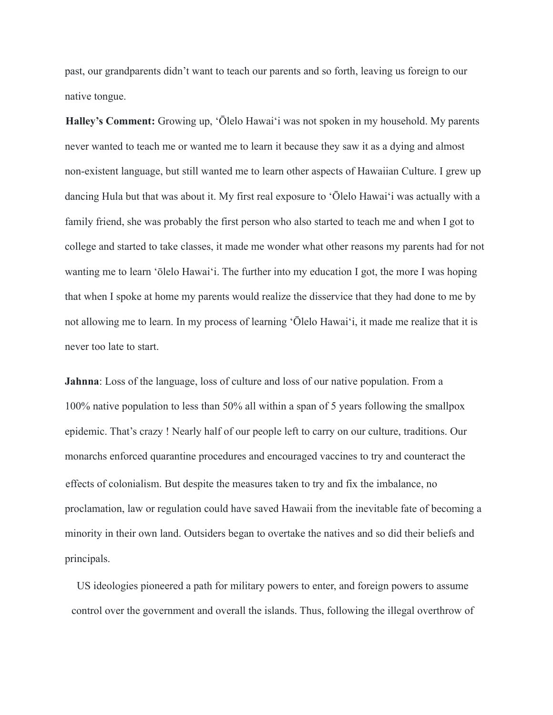past, our grandparents didn't want to teach our parents and so forth, leaving us foreign to our native tongue.

**Halley's Comment:** Growing up, ʻŌlelo Hawaiʻi was not spoken in my household. My parents never wanted to teach me or wanted me to learn it because they saw it as a dying and almost non-existent language, but still wanted me to learn other aspects of Hawaiian Culture. I grew up dancing Hula but that was about it. My first real exposure to ʻŌlelo Hawaiʻi was actually with a family friend, she was probably the first person who also started to teach me and when I got to college and started to take classes, it made me wonder what other reasons my parents had for not wanting me to learn ʻōlelo Hawaiʻi. The further into my education I got, the more I was hoping that when I spoke at home my parents would realize the disservice that they had done to me by not allowing me to learn. In my process of learning ʻŌlelo Hawaiʻi, it made me realize that it is never too late to start.

**Jahnna**: Loss of the language, loss of culture and loss of our native population. From a 100% native population to less than 50% all within a span of 5 years following the smallpox epidemic. That's crazy ! Nearly half of our people left to carry on our culture, traditions. Our monarchs enforced quarantine procedures and encouraged vaccines to try and counteract the effects of colonialism. But despite the measures taken to try and fix the imbalance, no proclamation, law or regulation could have saved Hawaii from the inevitable fate of becoming a minority in their own land. Outsiders began to overtake the natives and so did their beliefs and principals.

US ideologies pioneered a path for military powers to enter, and foreign powers to assume control over the government and overall the islands. Thus, following the illegal overthrow of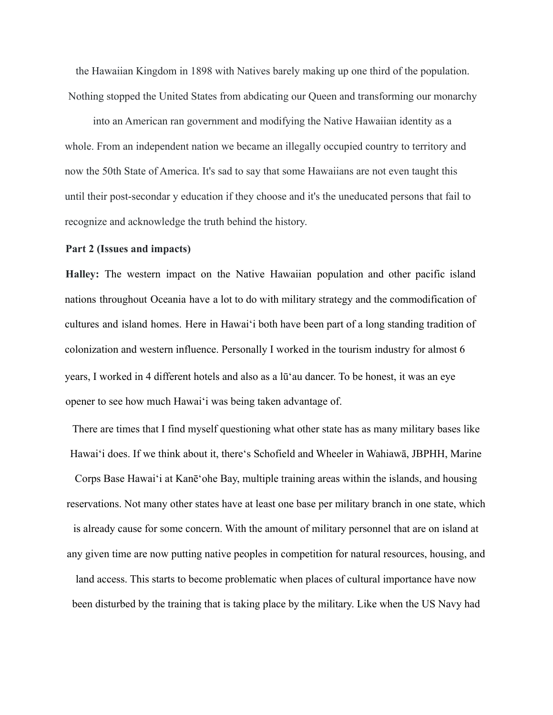the Hawaiian Kingdom in 1898 with Natives barely making up one third of the population. Nothing stopped the United States from abdicating our Queen and transforming our monarchy

into an American ran government and modifying the Native Hawaiian identity as a whole. From an independent nation we became an illegally occupied country to territory and now the 50th State of America. It's sad to say that some Hawaiians are not even taught this until their post-secondar y education if they choose and it's the uneducated persons that fail to recognize and acknowledge the truth behind the history.

### **Part 2 (Issues and impacts)**

**Halley:** The western impact on the Native Hawaiian population and other pacific island nations throughout Oceania have a lot to do with military strategy and the commodification of cultures and island homes. Here in Hawaiʻi both have been part of a long standing tradition of colonization and western influence. Personally I worked in the tourism industry for almost 6 years, I worked in 4 different hotels and also as a lūʻau dancer. To be honest, it was an eye opener to see how much Hawaiʻi was being taken advantage of.

There are times that I find myself questioning what other state has as many military bases like Hawaiʻi does. If we think about it, thereʻs Schofield and Wheeler in Wahiawā, JBPHH, Marine Corps Base Hawaiʻi at Kanēʻohe Bay, multiple training areas within the islands, and housing reservations. Not many other states have at least one base per military branch in one state, which is already cause for some concern. With the amount of military personnel that are on island at any given time are now putting native peoples in competition for natural resources, housing, and land access. This starts to become problematic when places of cultural importance have now been disturbed by the training that is taking place by the military. Like when the US Navy had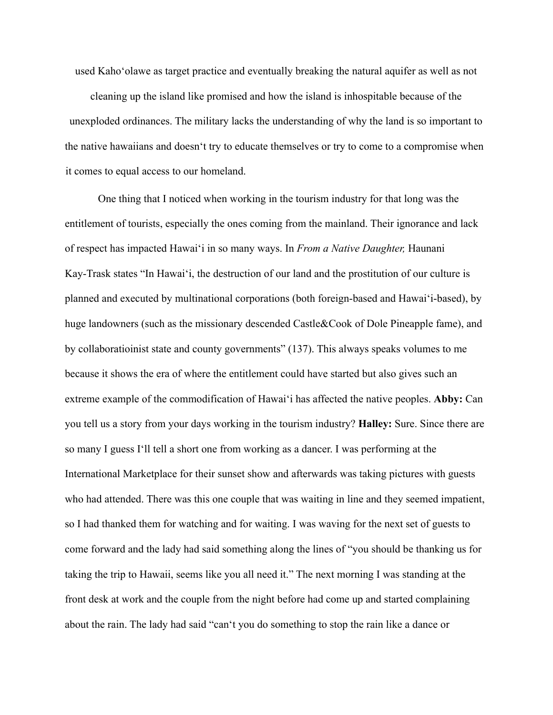used Kahoʻolawe as target practice and eventually breaking the natural aquifer as well as not cleaning up the island like promised and how the island is inhospitable because of the unexploded ordinances. The military lacks the understanding of why the land is so important to the native hawaiians and doesnʻt try to educate themselves or try to come to a compromise when it comes to equal access to our homeland.

One thing that I noticed when working in the tourism industry for that long was the entitlement of tourists, especially the ones coming from the mainland. Their ignorance and lack of respect has impacted Hawaiʻi in so many ways. In *From a Native Daughter,* Haunani Kay-Trask states "In Hawaiʻi, the destruction of our land and the prostitution of our culture is planned and executed by multinational corporations (both foreign-based and Hawaiʻi-based), by huge landowners (such as the missionary descended Castle&Cook of Dole Pineapple fame), and by collaboratioinist state and county governments" (137). This always speaks volumes to me because it shows the era of where the entitlement could have started but also gives such an extreme example of the commodification of Hawaiʻi has affected the native peoples. **Abby:** Can you tell us a story from your days working in the tourism industry? **Halley:** Sure. Since there are so many I guess Iʻll tell a short one from working as a dancer. I was performing at the International Marketplace for their sunset show and afterwards was taking pictures with guests who had attended. There was this one couple that was waiting in line and they seemed impatient, so I had thanked them for watching and for waiting. I was waving for the next set of guests to come forward and the lady had said something along the lines of "you should be thanking us for taking the trip to Hawaii, seems like you all need it." The next morning I was standing at the front desk at work and the couple from the night before had come up and started complaining about the rain. The lady had said "canʻt you do something to stop the rain like a dance or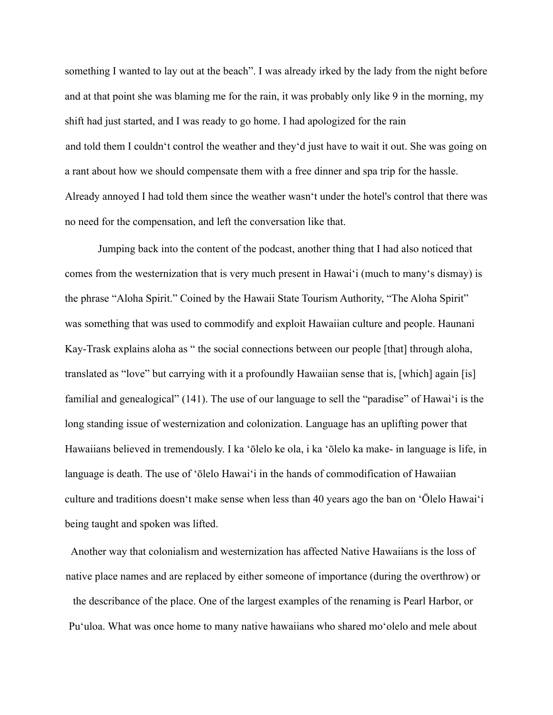something I wanted to lay out at the beach". I was already irked by the lady from the night before and at that point she was blaming me for the rain, it was probably only like 9 in the morning, my shift had just started, and I was ready to go home. I had apologized for the rain and told them I couldnʻt control the weather and theyʻd just have to wait it out. She was going on a rant about how we should compensate them with a free dinner and spa trip for the hassle. Already annoyed I had told them since the weather wasnʻt under the hotel's control that there was no need for the compensation, and left the conversation like that.

Jumping back into the content of the podcast, another thing that I had also noticed that comes from the westernization that is very much present in Hawaiʻi (much to manyʻs dismay) is the phrase "Aloha Spirit." Coined by the Hawaii State Tourism Authority, "The Aloha Spirit" was something that was used to commodify and exploit Hawaiian culture and people. Haunani Kay-Trask explains aloha as " the social connections between our people [that] through aloha, translated as "love" but carrying with it a profoundly Hawaiian sense that is, [which] again [is] familial and genealogical" (141). The use of our language to sell the "paradise" of Hawaiʻi is the long standing issue of westernization and colonization. Language has an uplifting power that Hawaiians believed in tremendously. I ka ʻōlelo ke ola, i ka ʻōlelo ka make- in language is life, in language is death. The use of ʻōlelo Hawaiʻi in the hands of commodification of Hawaiian culture and traditions doesnʻt make sense when less than 40 years ago the ban on ʻŌlelo Hawaiʻi being taught and spoken was lifted.

Another way that colonialism and westernization has affected Native Hawaiians is the loss of native place names and are replaced by either someone of importance (during the overthrow) or the describance of the place. One of the largest examples of the renaming is Pearl Harbor, or Puʻuloa. What was once home to many native hawaiians who shared moʻolelo and mele about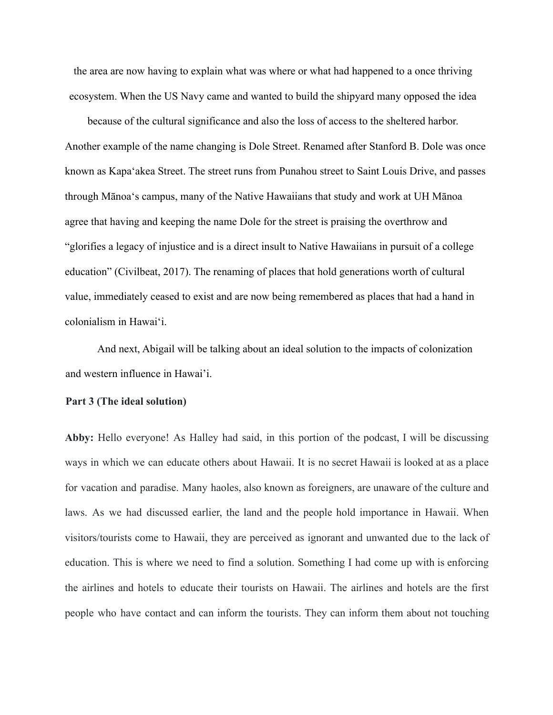the area are now having to explain what was where or what had happened to a once thriving ecosystem. When the US Navy came and wanted to build the shipyard many opposed the idea

because of the cultural significance and also the loss of access to the sheltered harbor. Another example of the name changing is Dole Street. Renamed after Stanford B. Dole was once known as Kapaʻakea Street. The street runs from Punahou street to Saint Louis Drive, and passes through Mānoaʻs campus, many of the Native Hawaiians that study and work at UH Mānoa agree that having and keeping the name Dole for the street is praising the overthrow and "glorifies a legacy of injustice and is a direct insult to Native Hawaiians in pursuit of a college education" (Civilbeat, 2017). The renaming of places that hold generations worth of cultural value, immediately ceased to exist and are now being remembered as places that had a hand in colonialism in Hawaiʻi.

And next, Abigail will be talking about an ideal solution to the impacts of colonization and western influence in Hawai'i.

## **Part 3 (The ideal solution)**

**Abby:** Hello everyone! As Halley had said, in this portion of the podcast, I will be discussing ways in which we can educate others about Hawaii. It is no secret Hawaii is looked at as a place for vacation and paradise. Many haoles, also known as foreigners, are unaware of the culture and laws. As we had discussed earlier, the land and the people hold importance in Hawaii. When visitors/tourists come to Hawaii, they are perceived as ignorant and unwanted due to the lack of education. This is where we need to find a solution. Something I had come up with is enforcing the airlines and hotels to educate their tourists on Hawaii. The airlines and hotels are the first people who have contact and can inform the tourists. They can inform them about not touching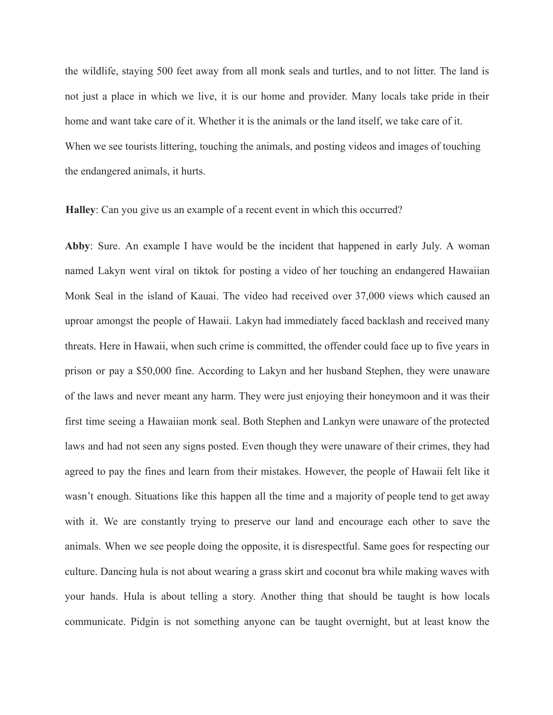the wildlife, staying 500 feet away from all monk seals and turtles, and to not litter. The land is not just a place in which we live, it is our home and provider. Many locals take pride in their home and want take care of it. Whether it is the animals or the land itself, we take care of it. When we see tourists littering, touching the animals, and posting videos and images of touching the endangered animals, it hurts.

**Halley**: Can you give us an example of a recent event in which this occurred?

**Abby**: Sure. An example I have would be the incident that happened in early July. A woman named Lakyn went viral on tiktok for posting a video of her touching an endangered Hawaiian Monk Seal in the island of Kauai. The video had received over 37,000 views which caused an uproar amongst the people of Hawaii. Lakyn had immediately faced backlash and received many threats. Here in Hawaii, when such crime is committed, the offender could face up to five years in prison or pay a \$50,000 fine. According to Lakyn and her husband Stephen, they were unaware of the laws and never meant any harm. They were just enjoying their honeymoon and it was their first time seeing a Hawaiian monk seal. Both Stephen and Lankyn were unaware of the protected laws and had not seen any signs posted. Even though they were unaware of their crimes, they had agreed to pay the fines and learn from their mistakes. However, the people of Hawaii felt like it wasn't enough. Situations like this happen all the time and a majority of people tend to get away with it. We are constantly trying to preserve our land and encourage each other to save the animals. When we see people doing the opposite, it is disrespectful. Same goes for respecting our culture. Dancing hula is not about wearing a grass skirt and coconut bra while making waves with your hands. Hula is about telling a story. Another thing that should be taught is how locals communicate. Pidgin is not something anyone can be taught overnight, but at least know the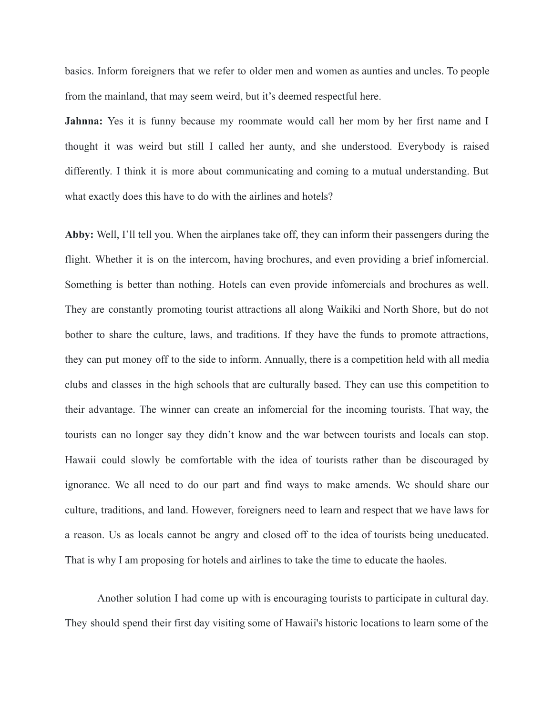basics. Inform foreigners that we refer to older men and women as aunties and uncles. To people from the mainland, that may seem weird, but it's deemed respectful here.

**Jahnna:** Yes it is funny because my roommate would call her mom by her first name and I thought it was weird but still I called her aunty, and she understood. Everybody is raised differently. I think it is more about communicating and coming to a mutual understanding. But what exactly does this have to do with the airlines and hotels?

**Abby:** Well, I'll tell you. When the airplanes take off, they can inform their passengers during the flight. Whether it is on the intercom, having brochures, and even providing a brief infomercial. Something is better than nothing. Hotels can even provide infomercials and brochures as well. They are constantly promoting tourist attractions all along Waikiki and North Shore, but do not bother to share the culture, laws, and traditions. If they have the funds to promote attractions, they can put money off to the side to inform. Annually, there is a competition held with all media clubs and classes in the high schools that are culturally based. They can use this competition to their advantage. The winner can create an infomercial for the incoming tourists. That way, the tourists can no longer say they didn't know and the war between tourists and locals can stop. Hawaii could slowly be comfortable with the idea of tourists rather than be discouraged by ignorance. We all need to do our part and find ways to make amends. We should share our culture, traditions, and land. However, foreigners need to learn and respect that we have laws for a reason. Us as locals cannot be angry and closed off to the idea of tourists being uneducated. That is why I am proposing for hotels and airlines to take the time to educate the haoles.

Another solution I had come up with is encouraging tourists to participate in cultural day. They should spend their first day visiting some of Hawaii's historic locations to learn some of the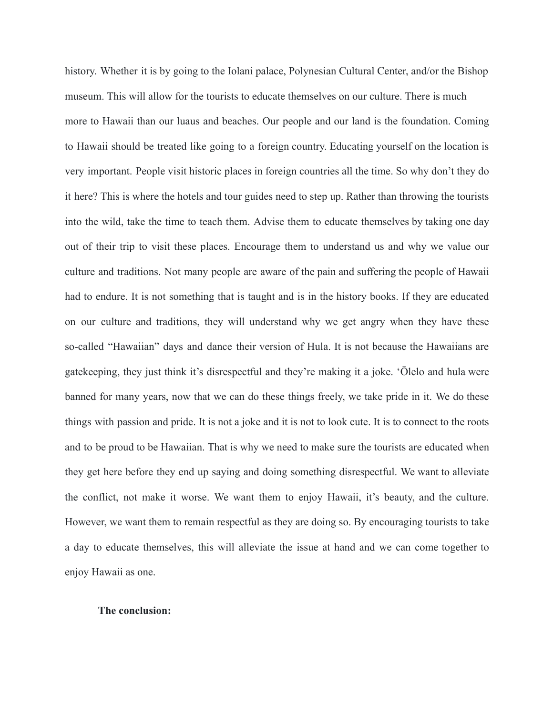history. Whether it is by going to the Iolani palace, Polynesian Cultural Center, and/or the Bishop museum. This will allow for the tourists to educate themselves on our culture. There is much more to Hawaii than our luaus and beaches. Our people and our land is the foundation. Coming to Hawaii should be treated like going to a foreign country. Educating yourself on the location is very important. People visit historic places in foreign countries all the time. So why don't they do it here? This is where the hotels and tour guides need to step up. Rather than throwing the tourists into the wild, take the time to teach them. Advise them to educate themselves by taking one day out of their trip to visit these places. Encourage them to understand us and why we value our culture and traditions. Not many people are aware of the pain and suffering the people of Hawaii had to endure. It is not something that is taught and is in the history books. If they are educated on our culture and traditions, they will understand why we get angry when they have these so-called "Hawaiian" days and dance their version of Hula. It is not because the Hawaiians are gatekeeping, they just think it's disrespectful and they're making it a joke. 'Ōlelo and hula were banned for many years, now that we can do these things freely, we take pride in it. We do these things with passion and pride. It is not a joke and it is not to look cute. It is to connect to the roots and to be proud to be Hawaiian. That is why we need to make sure the tourists are educated when they get here before they end up saying and doing something disrespectful. We want to alleviate the conflict, not make it worse. We want them to enjoy Hawaii, it's beauty, and the culture. However, we want them to remain respectful as they are doing so. By encouraging tourists to take a day to educate themselves, this will alleviate the issue at hand and we can come together to enjoy Hawaii as one.

# **The conclusion:**